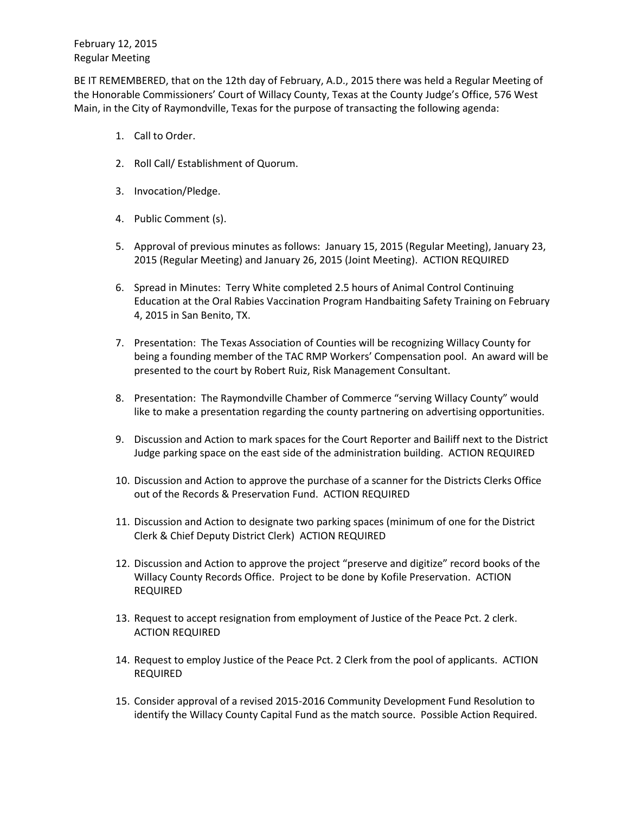BE IT REMEMBERED, that on the 12th day of February, A.D., 2015 there was held a Regular Meeting of the Honorable Commissioners' Court of Willacy County, Texas at the County Judge's Office, 576 West Main, in the City of Raymondville, Texas for the purpose of transacting the following agenda:

- 1. Call to Order.
- 2. Roll Call/ Establishment of Quorum.
- 3. Invocation/Pledge.
- 4. Public Comment (s).
- 5. Approval of previous minutes as follows: January 15, 2015 (Regular Meeting), January 23, 2015 (Regular Meeting) and January 26, 2015 (Joint Meeting). ACTION REQUIRED
- 6. Spread in Minutes: Terry White completed 2.5 hours of Animal Control Continuing Education at the Oral Rabies Vaccination Program Handbaiting Safety Training on February 4, 2015 in San Benito, TX.
- 7. Presentation: The Texas Association of Counties will be recognizing Willacy County for being a founding member of the TAC RMP Workers' Compensation pool. An award will be presented to the court by Robert Ruiz, Risk Management Consultant.
- 8. Presentation: The Raymondville Chamber of Commerce "serving Willacy County" would like to make a presentation regarding the county partnering on advertising opportunities.
- 9. Discussion and Action to mark spaces for the Court Reporter and Bailiff next to the District Judge parking space on the east side of the administration building. ACTION REQUIRED
- 10. Discussion and Action to approve the purchase of a scanner for the Districts Clerks Office out of the Records & Preservation Fund. ACTION REQUIRED
- 11. Discussion and Action to designate two parking spaces (minimum of one for the District Clerk & Chief Deputy District Clerk) ACTION REQUIRED
- 12. Discussion and Action to approve the project "preserve and digitize" record books of the Willacy County Records Office. Project to be done by Kofile Preservation. ACTION REQUIRED
- 13. Request to accept resignation from employment of Justice of the Peace Pct. 2 clerk. ACTION REQUIRED
- 14. Request to employ Justice of the Peace Pct. 2 Clerk from the pool of applicants. ACTION REQUIRED
- 15. Consider approval of a revised 2015-2016 Community Development Fund Resolution to identify the Willacy County Capital Fund as the match source. Possible Action Required.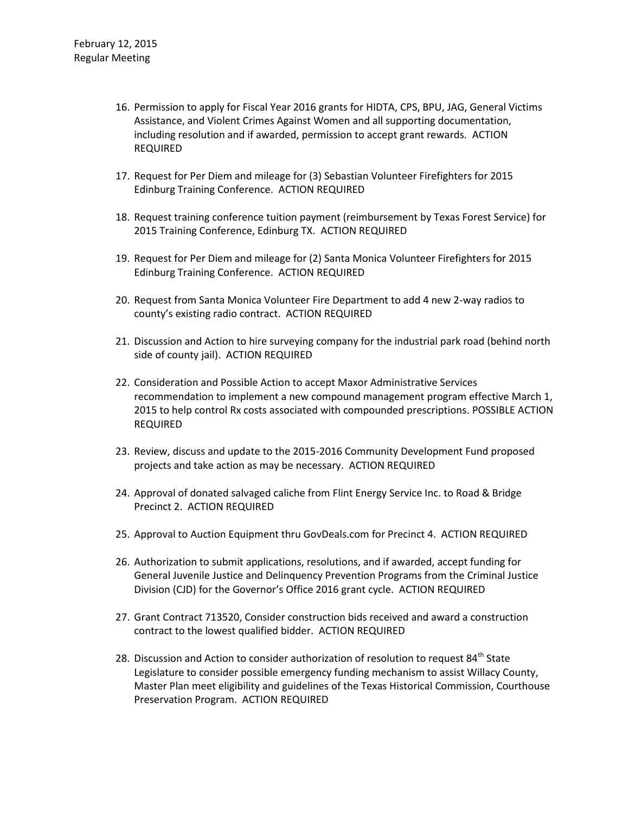- 16. Permission to apply for Fiscal Year 2016 grants for HIDTA, CPS, BPU, JAG, General Victims Assistance, and Violent Crimes Against Women and all supporting documentation, including resolution and if awarded, permission to accept grant rewards. ACTION REQUIRED
- 17. Request for Per Diem and mileage for (3) Sebastian Volunteer Firefighters for 2015 Edinburg Training Conference. ACTION REQUIRED
- 18. Request training conference tuition payment (reimbursement by Texas Forest Service) for 2015 Training Conference, Edinburg TX. ACTION REQUIRED
- 19. Request for Per Diem and mileage for (2) Santa Monica Volunteer Firefighters for 2015 Edinburg Training Conference. ACTION REQUIRED
- 20. Request from Santa Monica Volunteer Fire Department to add 4 new 2-way radios to county's existing radio contract. ACTION REQUIRED
- 21. Discussion and Action to hire surveying company for the industrial park road (behind north side of county jail). ACTION REQUIRED
- 22. Consideration and Possible Action to accept Maxor Administrative Services recommendation to implement a new compound management program effective March 1, 2015 to help control Rx costs associated with compounded prescriptions. POSSIBLE ACTION REQUIRED
- 23. Review, discuss and update to the 2015-2016 Community Development Fund proposed projects and take action as may be necessary. ACTION REQUIRED
- 24. Approval of donated salvaged caliche from Flint Energy Service Inc. to Road & Bridge Precinct 2. ACTION REQUIRED
- 25. Approval to Auction Equipment thru GovDeals.com for Precinct 4. ACTION REQUIRED
- 26. Authorization to submit applications, resolutions, and if awarded, accept funding for General Juvenile Justice and Delinquency Prevention Programs from the Criminal Justice Division (CJD) for the Governor's Office 2016 grant cycle. ACTION REQUIRED
- 27. Grant Contract 713520, Consider construction bids received and award a construction contract to the lowest qualified bidder. ACTION REQUIRED
- 28. Discussion and Action to consider authorization of resolution to request 84<sup>th</sup> State Legislature to consider possible emergency funding mechanism to assist Willacy County, Master Plan meet eligibility and guidelines of the Texas Historical Commission, Courthouse Preservation Program. ACTION REQUIRED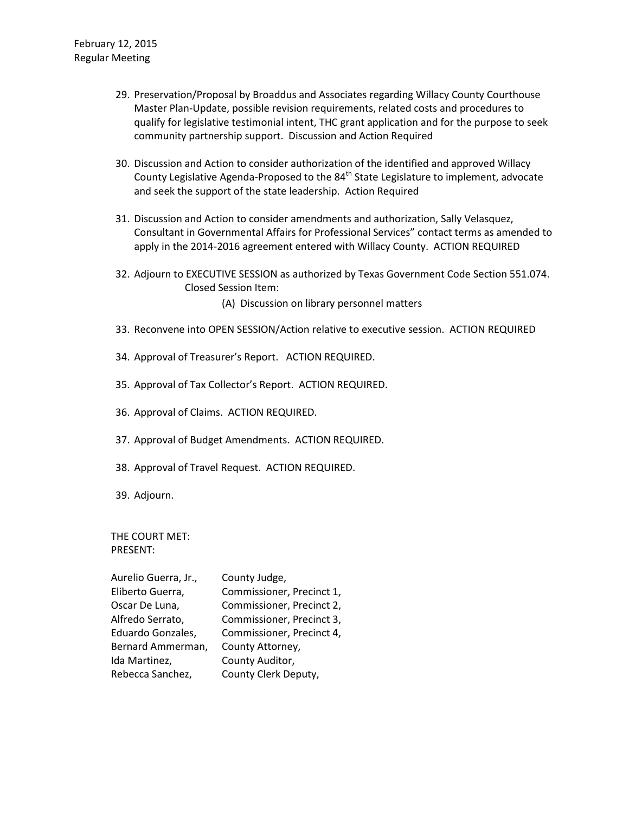- 29. Preservation/Proposal by Broaddus and Associates regarding Willacy County Courthouse Master Plan-Update, possible revision requirements, related costs and procedures to qualify for legislative testimonial intent, THC grant application and for the purpose to seek community partnership support. Discussion and Action Required
- 30. Discussion and Action to consider authorization of the identified and approved Willacy County Legislative Agenda-Proposed to the 84<sup>th</sup> State Legislature to implement, advocate and seek the support of the state leadership. Action Required
- 31. Discussion and Action to consider amendments and authorization, Sally Velasquez, Consultant in Governmental Affairs for Professional Services" contact terms as amended to apply in the 2014-2016 agreement entered with Willacy County. ACTION REQUIRED
- 32. Adjourn to EXECUTIVE SESSION as authorized by Texas Government Code Section 551.074. Closed Session Item:

(A) Discussion on library personnel matters

- 33. Reconvene into OPEN SESSION/Action relative to executive session. ACTION REQUIRED
- 34. Approval of Treasurer's Report. ACTION REQUIRED.
- 35. Approval of Tax Collector's Report. ACTION REQUIRED.
- 36. Approval of Claims. ACTION REQUIRED.
- 37. Approval of Budget Amendments. ACTION REQUIRED.
- 38. Approval of Travel Request. ACTION REQUIRED.
- 39. Adjourn.

THE COURT MET: PRESENT:

| Aurelio Guerra, Jr., | County Judge,             |
|----------------------|---------------------------|
| Eliberto Guerra,     | Commissioner, Precinct 1, |
| Oscar De Luna,       | Commissioner, Precinct 2, |
| Alfredo Serrato,     | Commissioner, Precinct 3, |
| Eduardo Gonzales,    | Commissioner, Precinct 4, |
| Bernard Ammerman,    | County Attorney,          |
| Ida Martinez,        | County Auditor,           |
| Rebecca Sanchez,     | County Clerk Deputy,      |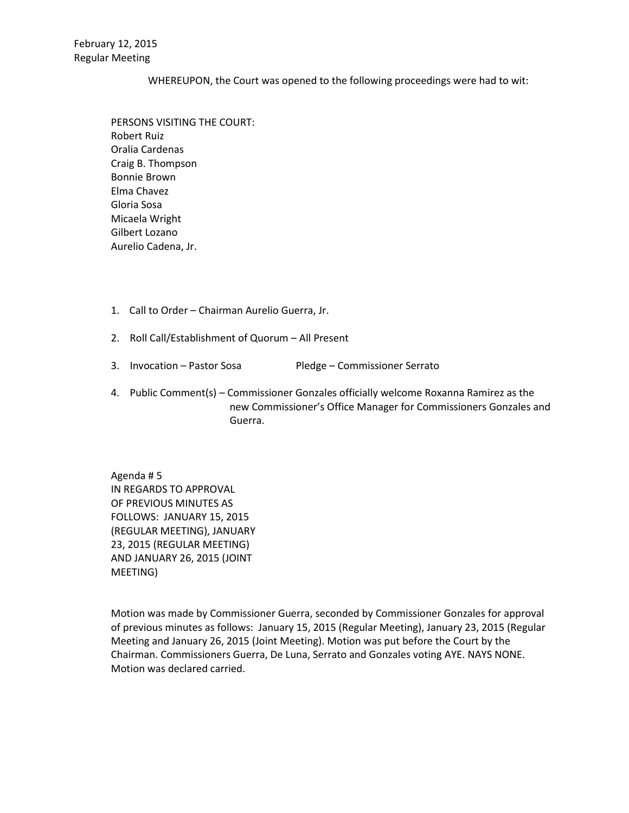## WHEREUPON, the Court was opened to the following proceedings were had to wit:

PERSONS VISITING THE COURT: Robert Ruiz Oralia Cardenas Craig B. Thompson Bonnie Brown Elma Chavez Gloria Sosa Micaela Wright Gilbert Lozano Aurelio Cadena, Jr.

- 1. Call to Order Chairman Aurelio Guerra, Jr.
- 2. Roll Call/Establishment of Quorum All Present
- 3. Invocation Pastor Sosa Pledge Commissioner Serrato
- 4. Public Comment(s) Commissioner Gonzales officially welcome Roxanna Ramirez as the new Commissioner's Office Manager for Commissioners Gonzales and Guerra.

Agenda # 5 IN REGARDS TO APPROVAL OF PREVIOUS MINUTES AS FOLLOWS: JANUARY 15, 2015 (REGULAR MEETING), JANUARY 23, 2015 (REGULAR MEETING) AND JANUARY 26, 2015 (JOINT MEETING)

Motion was made by Commissioner Guerra, seconded by Commissioner Gonzales for approval of previous minutes as follows: January 15, 2015 (Regular Meeting), January 23, 2015 (Regular Meeting and January 26, 2015 (Joint Meeting). Motion was put before the Court by the Chairman. Commissioners Guerra, De Luna, Serrato and Gonzales voting AYE. NAYS NONE. Motion was declared carried.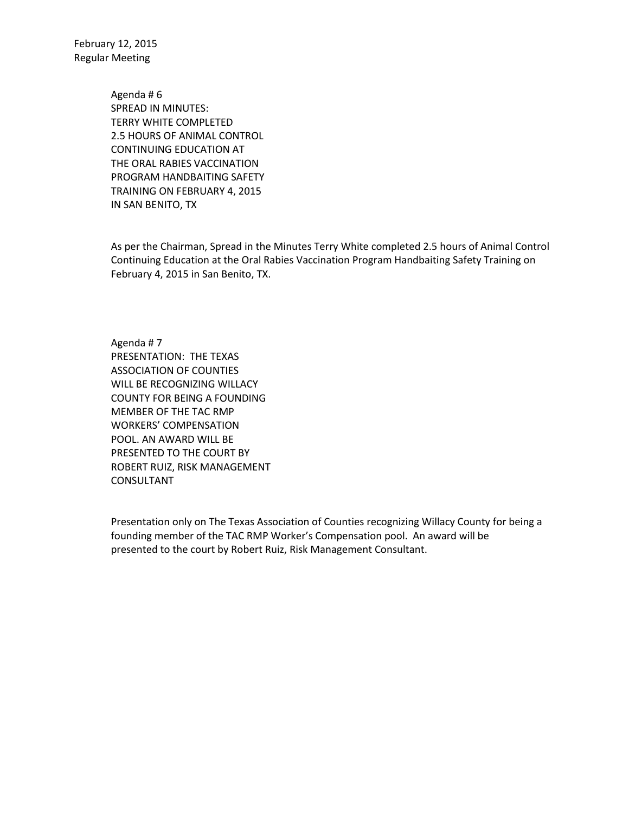> Agenda # 6 SPREAD IN MINUTES: TERRY WHITE COMPLETED 2.5 HOURS OF ANIMAL CONTROL CONTINUING EDUCATION AT THE ORAL RABIES VACCINATION PROGRAM HANDBAITING SAFETY TRAINING ON FEBRUARY 4, 2015 IN SAN BENITO, TX

As per the Chairman, Spread in the Minutes Terry White completed 2.5 hours of Animal Control Continuing Education at the Oral Rabies Vaccination Program Handbaiting Safety Training on February 4, 2015 in San Benito, TX.

Agenda # 7 PRESENTATION: THE TEXAS ASSOCIATION OF COUNTIES WILL BE RECOGNIZING WILLACY COUNTY FOR BEING A FOUNDING MEMBER OF THE TAC RMP WORKERS' COMPENSATION POOL. AN AWARD WILL BE PRESENTED TO THE COURT BY ROBERT RUIZ, RISK MANAGEMENT CONSULTANT

Presentation only on The Texas Association of Counties recognizing Willacy County for being a founding member of the TAC RMP Worker's Compensation pool. An award will be presented to the court by Robert Ruiz, Risk Management Consultant.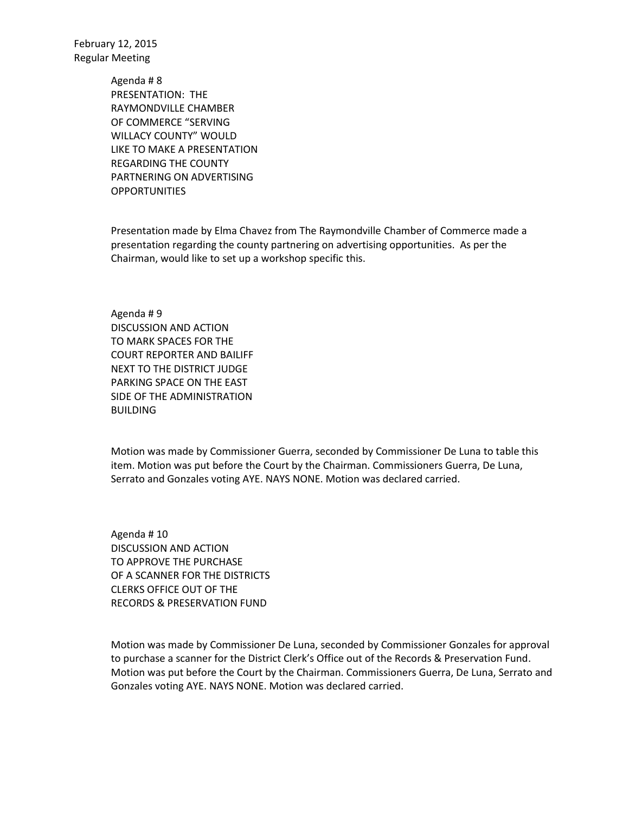> Agenda # 8 PRESENTATION: THE RAYMONDVILLE CHAMBER OF COMMERCE "SERVING WILLACY COUNTY" WOULD LIKE TO MAKE A PRESENTATION REGARDING THE COUNTY PARTNERING ON ADVERTISING **OPPORTUNITIES**

Presentation made by Elma Chavez from The Raymondville Chamber of Commerce made a presentation regarding the county partnering on advertising opportunities. As per the Chairman, would like to set up a workshop specific this.

Agenda # 9 DISCUSSION AND ACTION TO MARK SPACES FOR THE COURT REPORTER AND BAILIFF NEXT TO THE DISTRICT JUDGE PARKING SPACE ON THE EAST SIDE OF THE ADMINISTRATION BUILDING

Motion was made by Commissioner Guerra, seconded by Commissioner De Luna to table this item. Motion was put before the Court by the Chairman. Commissioners Guerra, De Luna, Serrato and Gonzales voting AYE. NAYS NONE. Motion was declared carried.

Agenda # 10 DISCUSSION AND ACTION TO APPROVE THE PURCHASE OF A SCANNER FOR THE DISTRICTS CLERKS OFFICE OUT OF THE RECORDS & PRESERVATION FUND

Motion was made by Commissioner De Luna, seconded by Commissioner Gonzales for approval to purchase a scanner for the District Clerk's Office out of the Records & Preservation Fund. Motion was put before the Court by the Chairman. Commissioners Guerra, De Luna, Serrato and Gonzales voting AYE. NAYS NONE. Motion was declared carried.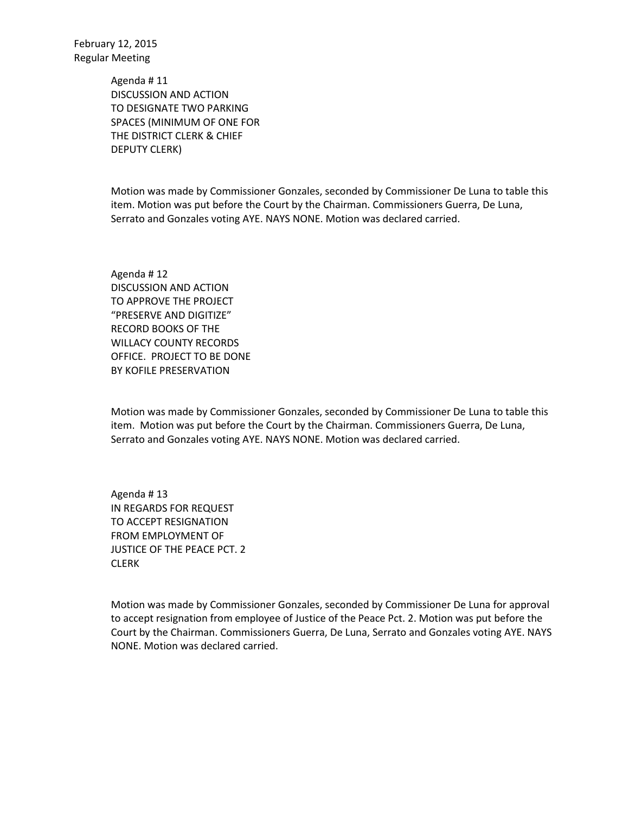> Agenda # 11 DISCUSSION AND ACTION TO DESIGNATE TWO PARKING SPACES (MINIMUM OF ONE FOR THE DISTRICT CLERK & CHIEF DEPUTY CLERK)

Motion was made by Commissioner Gonzales, seconded by Commissioner De Luna to table this item. Motion was put before the Court by the Chairman. Commissioners Guerra, De Luna, Serrato and Gonzales voting AYE. NAYS NONE. Motion was declared carried.

Agenda # 12 DISCUSSION AND ACTION TO APPROVE THE PROJECT "PRESERVE AND DIGITIZE" RECORD BOOKS OF THE WILLACY COUNTY RECORDS OFFICE. PROJECT TO BE DONE BY KOFILE PRESERVATION

Motion was made by Commissioner Gonzales, seconded by Commissioner De Luna to table this item. Motion was put before the Court by the Chairman. Commissioners Guerra, De Luna, Serrato and Gonzales voting AYE. NAYS NONE. Motion was declared carried.

Agenda # 13 IN REGARDS FOR REQUEST TO ACCEPT RESIGNATION FROM EMPLOYMENT OF JUSTICE OF THE PEACE PCT. 2 CLERK

Motion was made by Commissioner Gonzales, seconded by Commissioner De Luna for approval to accept resignation from employee of Justice of the Peace Pct. 2. Motion was put before the Court by the Chairman. Commissioners Guerra, De Luna, Serrato and Gonzales voting AYE. NAYS NONE. Motion was declared carried.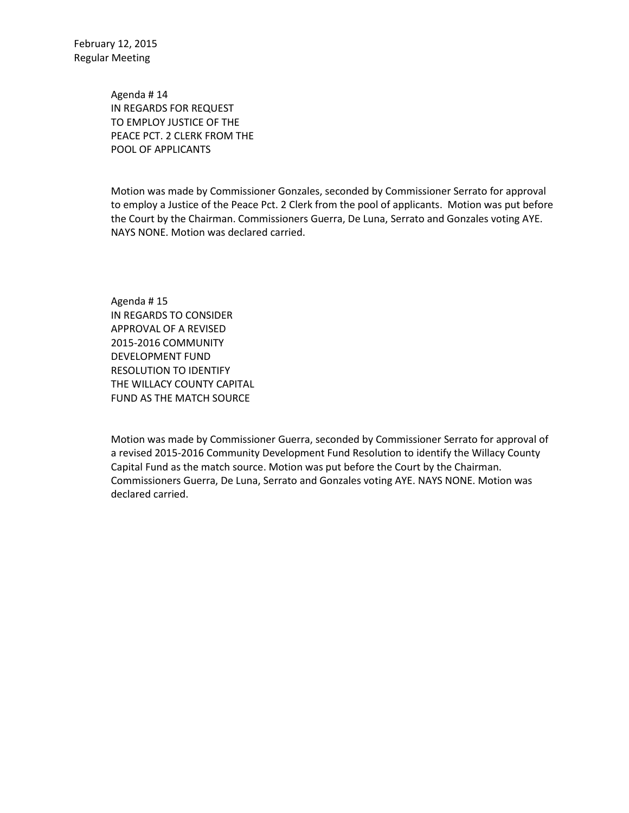> Agenda # 14 IN REGARDS FOR REQUEST TO EMPLOY JUSTICE OF THE PEACE PCT. 2 CLERK FROM THE POOL OF APPLICANTS

Motion was made by Commissioner Gonzales, seconded by Commissioner Serrato for approval to employ a Justice of the Peace Pct. 2 Clerk from the pool of applicants. Motion was put before the Court by the Chairman. Commissioners Guerra, De Luna, Serrato and Gonzales voting AYE. NAYS NONE. Motion was declared carried.

Agenda # 15 IN REGARDS TO CONSIDER APPROVAL OF A REVISED 2015-2016 COMMUNITY DEVELOPMENT FUND RESOLUTION TO IDENTIFY THE WILLACY COUNTY CAPITAL FUND AS THE MATCH SOURCE

Motion was made by Commissioner Guerra, seconded by Commissioner Serrato for approval of a revised 2015-2016 Community Development Fund Resolution to identify the Willacy County Capital Fund as the match source. Motion was put before the Court by the Chairman. Commissioners Guerra, De Luna, Serrato and Gonzales voting AYE. NAYS NONE. Motion was declared carried.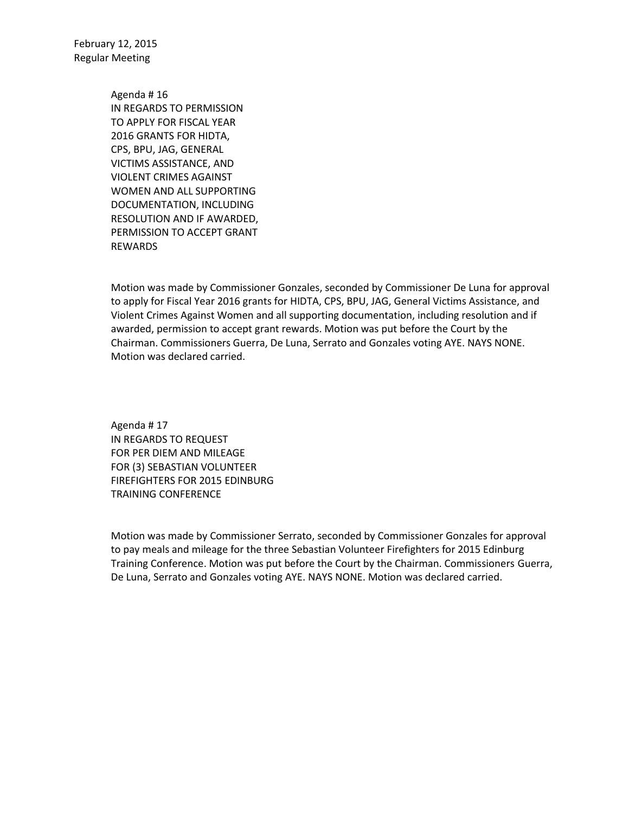> Agenda # 16 IN REGARDS TO PERMISSION TO APPLY FOR FISCAL YEAR 2016 GRANTS FOR HIDTA, CPS, BPU, JAG, GENERAL VICTIMS ASSISTANCE, AND VIOLENT CRIMES AGAINST WOMEN AND ALL SUPPORTING DOCUMENTATION, INCLUDING RESOLUTION AND IF AWARDED, PERMISSION TO ACCEPT GRANT REWARDS

Motion was made by Commissioner Gonzales, seconded by Commissioner De Luna for approval to apply for Fiscal Year 2016 grants for HIDTA, CPS, BPU, JAG, General Victims Assistance, and Violent Crimes Against Women and all supporting documentation, including resolution and if awarded, permission to accept grant rewards. Motion was put before the Court by the Chairman. Commissioners Guerra, De Luna, Serrato and Gonzales voting AYE. NAYS NONE. Motion was declared carried.

Agenda # 17 IN REGARDS TO REQUEST FOR PER DIEM AND MILEAGE FOR (3) SEBASTIAN VOLUNTEER FIREFIGHTERS FOR 2015 EDINBURG TRAINING CONFERENCE

Motion was made by Commissioner Serrato, seconded by Commissioner Gonzales for approval to pay meals and mileage for the three Sebastian Volunteer Firefighters for 2015 Edinburg Training Conference. Motion was put before the Court by the Chairman. Commissioners Guerra, De Luna, Serrato and Gonzales voting AYE. NAYS NONE. Motion was declared carried.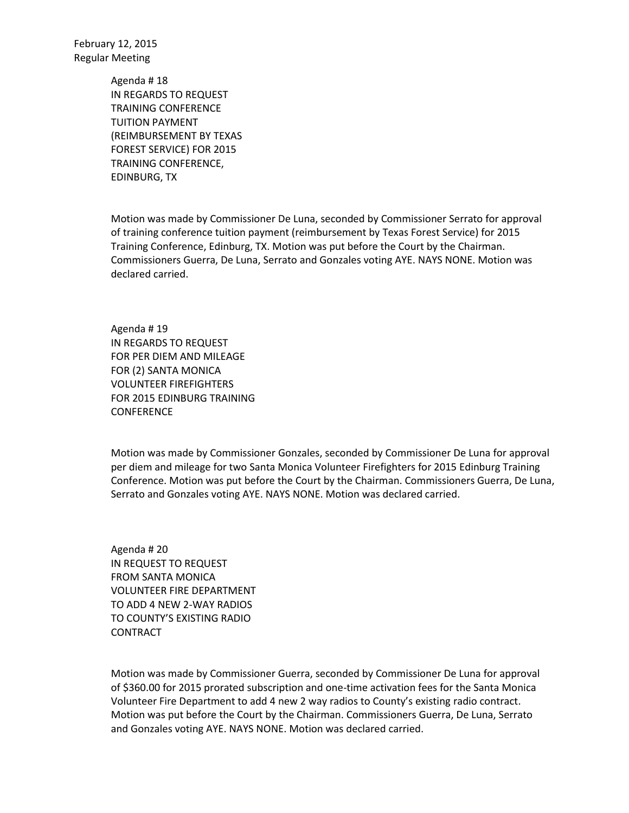> Agenda # 18 IN REGARDS TO REQUEST TRAINING CONFERENCE TUITION PAYMENT (REIMBURSEMENT BY TEXAS FOREST SERVICE) FOR 2015 TRAINING CONFERENCE, EDINBURG, TX

Motion was made by Commissioner De Luna, seconded by Commissioner Serrato for approval of training conference tuition payment (reimbursement by Texas Forest Service) for 2015 Training Conference, Edinburg, TX. Motion was put before the Court by the Chairman. Commissioners Guerra, De Luna, Serrato and Gonzales voting AYE. NAYS NONE. Motion was declared carried.

Agenda # 19 IN REGARDS TO REQUEST FOR PER DIEM AND MILEAGE FOR (2) SANTA MONICA VOLUNTEER FIREFIGHTERS FOR 2015 EDINBURG TRAINING CONFERENCE

Motion was made by Commissioner Gonzales, seconded by Commissioner De Luna for approval per diem and mileage for two Santa Monica Volunteer Firefighters for 2015 Edinburg Training Conference. Motion was put before the Court by the Chairman. Commissioners Guerra, De Luna, Serrato and Gonzales voting AYE. NAYS NONE. Motion was declared carried.

Agenda # 20 IN REQUEST TO REQUEST FROM SANTA MONICA VOLUNTEER FIRE DEPARTMENT TO ADD 4 NEW 2-WAY RADIOS TO COUNTY'S EXISTING RADIO **CONTRACT** 

Motion was made by Commissioner Guerra, seconded by Commissioner De Luna for approval of \$360.00 for 2015 prorated subscription and one-time activation fees for the Santa Monica Volunteer Fire Department to add 4 new 2 way radios to County's existing radio contract. Motion was put before the Court by the Chairman. Commissioners Guerra, De Luna, Serrato and Gonzales voting AYE. NAYS NONE. Motion was declared carried.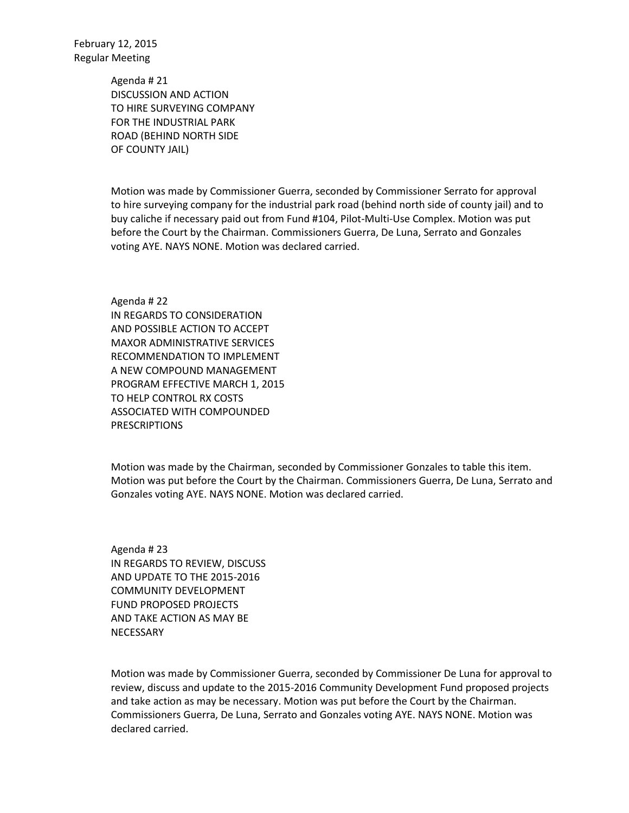> Agenda # 21 DISCUSSION AND ACTION TO HIRE SURVEYING COMPANY FOR THE INDUSTRIAL PARK ROAD (BEHIND NORTH SIDE OF COUNTY JAIL)

Motion was made by Commissioner Guerra, seconded by Commissioner Serrato for approval to hire surveying company for the industrial park road (behind north side of county jail) and to buy caliche if necessary paid out from Fund #104, Pilot-Multi-Use Complex. Motion was put before the Court by the Chairman. Commissioners Guerra, De Luna, Serrato and Gonzales voting AYE. NAYS NONE. Motion was declared carried.

Agenda # 22 IN REGARDS TO CONSIDERATION AND POSSIBLE ACTION TO ACCEPT MAXOR ADMINISTRATIVE SERVICES RECOMMENDATION TO IMPLEMENT A NEW COMPOUND MANAGEMENT PROGRAM EFFECTIVE MARCH 1, 2015 TO HELP CONTROL RX COSTS ASSOCIATED WITH COMPOUNDED PRESCRIPTIONS

Motion was made by the Chairman, seconded by Commissioner Gonzales to table this item. Motion was put before the Court by the Chairman. Commissioners Guerra, De Luna, Serrato and Gonzales voting AYE. NAYS NONE. Motion was declared carried.

Agenda # 23 IN REGARDS TO REVIEW, DISCUSS AND UPDATE TO THE 2015-2016 COMMUNITY DEVELOPMENT FUND PROPOSED PROJECTS AND TAKE ACTION AS MAY BE **NECESSARY** 

Motion was made by Commissioner Guerra, seconded by Commissioner De Luna for approval to review, discuss and update to the 2015-2016 Community Development Fund proposed projects and take action as may be necessary. Motion was put before the Court by the Chairman. Commissioners Guerra, De Luna, Serrato and Gonzales voting AYE. NAYS NONE. Motion was declared carried.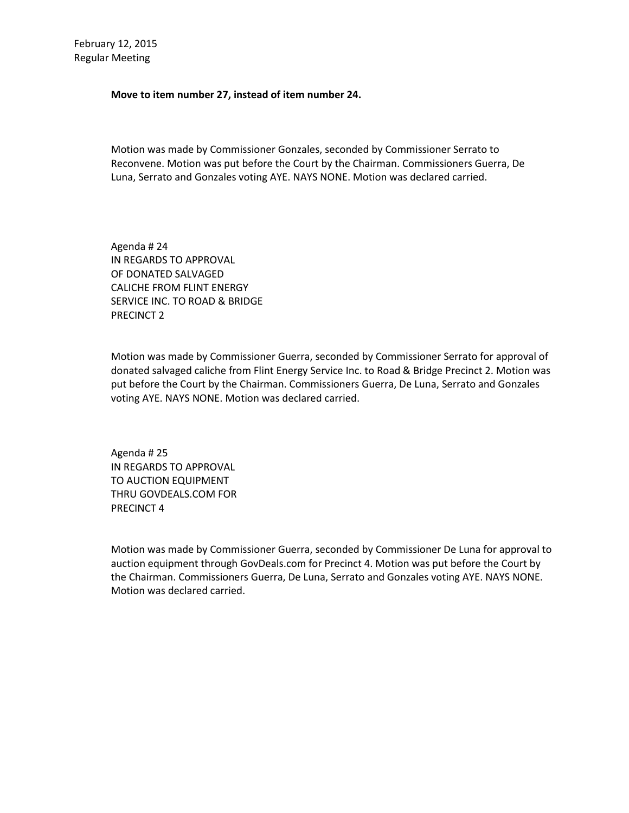## **Move to item number 27, instead of item number 24.**

Motion was made by Commissioner Gonzales, seconded by Commissioner Serrato to Reconvene. Motion was put before the Court by the Chairman. Commissioners Guerra, De Luna, Serrato and Gonzales voting AYE. NAYS NONE. Motion was declared carried.

Agenda # 24 IN REGARDS TO APPROVAL OF DONATED SALVAGED CALICHE FROM FLINT ENERGY SERVICE INC. TO ROAD & BRIDGE PRECINCT 2

Motion was made by Commissioner Guerra, seconded by Commissioner Serrato for approval of donated salvaged caliche from Flint Energy Service Inc. to Road & Bridge Precinct 2. Motion was put before the Court by the Chairman. Commissioners Guerra, De Luna, Serrato and Gonzales voting AYE. NAYS NONE. Motion was declared carried.

Agenda # 25 IN REGARDS TO APPROVAL TO AUCTION EQUIPMENT THRU GOVDEALS.COM FOR PRECINCT 4

Motion was made by Commissioner Guerra, seconded by Commissioner De Luna for approval to auction equipment through GovDeals.com for Precinct 4. Motion was put before the Court by the Chairman. Commissioners Guerra, De Luna, Serrato and Gonzales voting AYE. NAYS NONE. Motion was declared carried.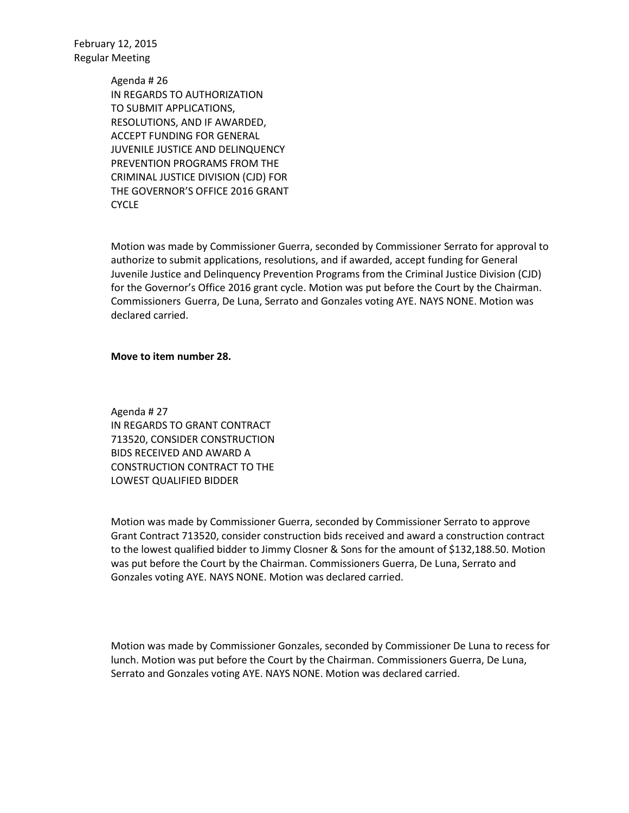> Agenda # 26 IN REGARDS TO AUTHORIZATION TO SUBMIT APPLICATIONS, RESOLUTIONS, AND IF AWARDED, ACCEPT FUNDING FOR GENERAL JUVENILE JUSTICE AND DELINQUENCY PREVENTION PROGRAMS FROM THE CRIMINAL JUSTICE DIVISION (CJD) FOR THE GOVERNOR'S OFFICE 2016 GRANT CYCLE

Motion was made by Commissioner Guerra, seconded by Commissioner Serrato for approval to authorize to submit applications, resolutions, and if awarded, accept funding for General Juvenile Justice and Delinquency Prevention Programs from the Criminal Justice Division (CJD) for the Governor's Office 2016 grant cycle. Motion was put before the Court by the Chairman. Commissioners Guerra, De Luna, Serrato and Gonzales voting AYE. NAYS NONE. Motion was declared carried.

## **Move to item number 28.**

Agenda # 27 IN REGARDS TO GRANT CONTRACT 713520, CONSIDER CONSTRUCTION BIDS RECEIVED AND AWARD A CONSTRUCTION CONTRACT TO THE LOWEST QUALIFIED BIDDER

Motion was made by Commissioner Guerra, seconded by Commissioner Serrato to approve Grant Contract 713520, consider construction bids received and award a construction contract to the lowest qualified bidder to Jimmy Closner & Sons for the amount of \$132,188.50. Motion was put before the Court by the Chairman. Commissioners Guerra, De Luna, Serrato and Gonzales voting AYE. NAYS NONE. Motion was declared carried.

Motion was made by Commissioner Gonzales, seconded by Commissioner De Luna to recess for lunch. Motion was put before the Court by the Chairman. Commissioners Guerra, De Luna, Serrato and Gonzales voting AYE. NAYS NONE. Motion was declared carried.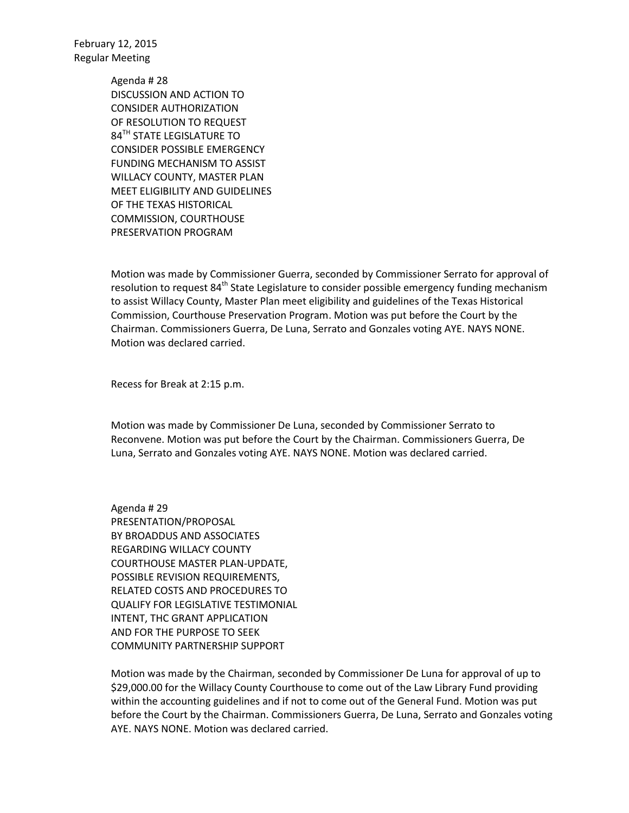> Agenda # 28 DISCUSSION AND ACTION TO CONSIDER AUTHORIZATION OF RESOLUTION TO REQUEST 84<sup>TH</sup> STATE LEGISLATURE TO CONSIDER POSSIBLE EMERGENCY FUNDING MECHANISM TO ASSIST WILLACY COUNTY, MASTER PLAN MEET ELIGIBILITY AND GUIDELINES OF THE TEXAS HISTORICAL COMMISSION, COURTHOUSE PRESERVATION PROGRAM

Motion was made by Commissioner Guerra, seconded by Commissioner Serrato for approval of resolution to request 84<sup>th</sup> State Legislature to consider possible emergency funding mechanism to assist Willacy County, Master Plan meet eligibility and guidelines of the Texas Historical Commission, Courthouse Preservation Program. Motion was put before the Court by the Chairman. Commissioners Guerra, De Luna, Serrato and Gonzales voting AYE. NAYS NONE. Motion was declared carried.

Recess for Break at 2:15 p.m.

Motion was made by Commissioner De Luna, seconded by Commissioner Serrato to Reconvene. Motion was put before the Court by the Chairman. Commissioners Guerra, De Luna, Serrato and Gonzales voting AYE. NAYS NONE. Motion was declared carried.

Agenda # 29 PRESENTATION/PROPOSAL BY BROADDUS AND ASSOCIATES REGARDING WILLACY COUNTY COURTHOUSE MASTER PLAN-UPDATE, POSSIBLE REVISION REQUIREMENTS, RELATED COSTS AND PROCEDURES TO QUALIFY FOR LEGISLATIVE TESTIMONIAL INTENT, THC GRANT APPLICATION AND FOR THE PURPOSE TO SEEK COMMUNITY PARTNERSHIP SUPPORT

Motion was made by the Chairman, seconded by Commissioner De Luna for approval of up to \$29,000.00 for the Willacy County Courthouse to come out of the Law Library Fund providing within the accounting guidelines and if not to come out of the General Fund. Motion was put before the Court by the Chairman. Commissioners Guerra, De Luna, Serrato and Gonzales voting AYE. NAYS NONE. Motion was declared carried.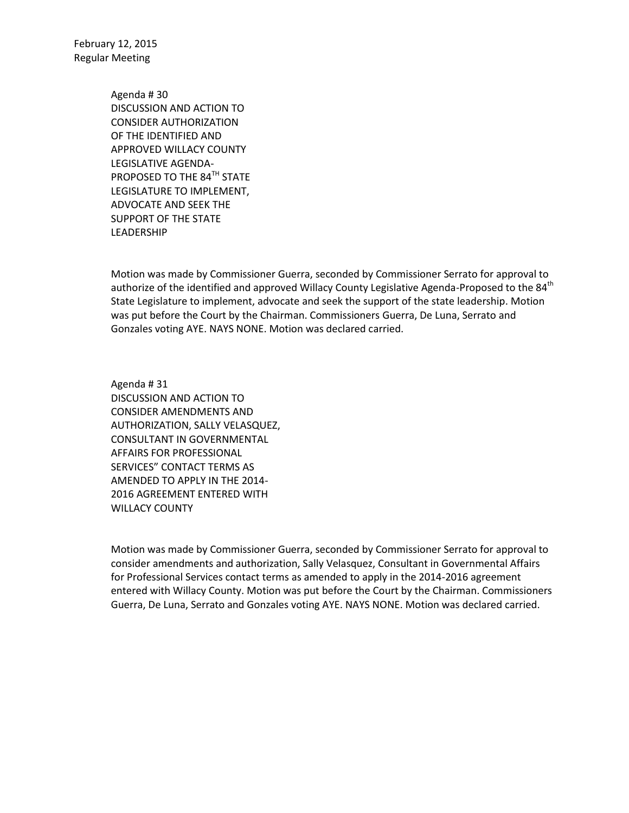> Agenda # 30 DISCUSSION AND ACTION TO CONSIDER AUTHORIZATION OF THE IDENTIFIED AND APPROVED WILLACY COUNTY LEGISLATIVE AGENDA-PROPOSED TO THE 84<sup>TH</sup> STATE LEGISLATURE TO IMPLEMENT, ADVOCATE AND SEEK THE SUPPORT OF THE STATE LEADERSHIP

Motion was made by Commissioner Guerra, seconded by Commissioner Serrato for approval to authorize of the identified and approved Willacy County Legislative Agenda-Proposed to the 84<sup>th</sup> State Legislature to implement, advocate and seek the support of the state leadership. Motion was put before the Court by the Chairman. Commissioners Guerra, De Luna, Serrato and Gonzales voting AYE. NAYS NONE. Motion was declared carried.

Agenda # 31 DISCUSSION AND ACTION TO CONSIDER AMENDMENTS AND AUTHORIZATION, SALLY VELASQUEZ, CONSULTANT IN GOVERNMENTAL AFFAIRS FOR PROFESSIONAL SERVICES" CONTACT TERMS AS AMENDED TO APPLY IN THE 2014- 2016 AGREEMENT ENTERED WITH WILLACY COUNTY

Motion was made by Commissioner Guerra, seconded by Commissioner Serrato for approval to consider amendments and authorization, Sally Velasquez, Consultant in Governmental Affairs for Professional Services contact terms as amended to apply in the 2014-2016 agreement entered with Willacy County. Motion was put before the Court by the Chairman. Commissioners Guerra, De Luna, Serrato and Gonzales voting AYE. NAYS NONE. Motion was declared carried.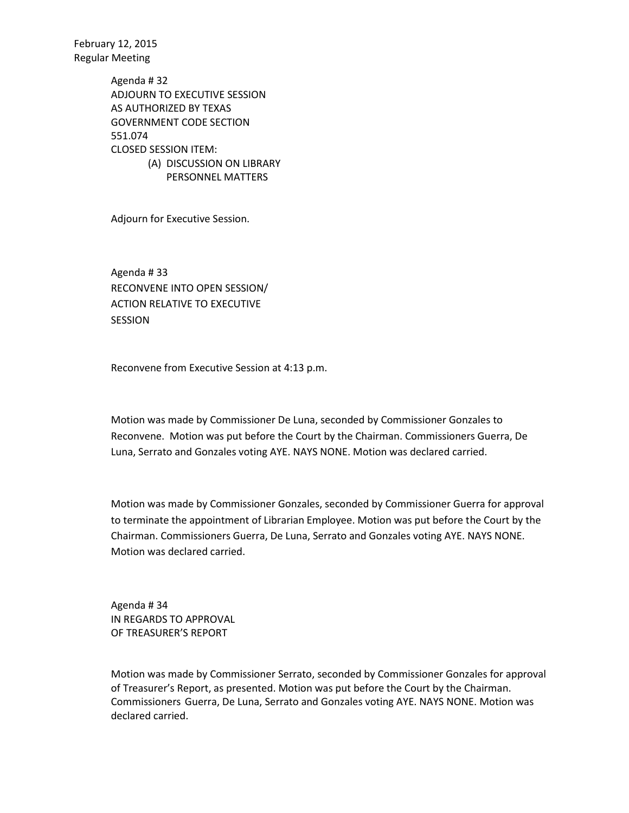> Agenda # 32 ADJOURN TO EXECUTIVE SESSION AS AUTHORIZED BY TEXAS GOVERNMENT CODE SECTION 551.074 CLOSED SESSION ITEM: (A) DISCUSSION ON LIBRARY PERSONNEL MATTERS

Adjourn for Executive Session.

Agenda # 33 RECONVENE INTO OPEN SESSION/ ACTION RELATIVE TO EXECUTIVE SESSION

Reconvene from Executive Session at 4:13 p.m.

Motion was made by Commissioner De Luna, seconded by Commissioner Gonzales to Reconvene. Motion was put before the Court by the Chairman. Commissioners Guerra, De Luna, Serrato and Gonzales voting AYE. NAYS NONE. Motion was declared carried.

Motion was made by Commissioner Gonzales, seconded by Commissioner Guerra for approval to terminate the appointment of Librarian Employee. Motion was put before the Court by the Chairman. Commissioners Guerra, De Luna, Serrato and Gonzales voting AYE. NAYS NONE. Motion was declared carried.

Agenda # 34 IN REGARDS TO APPROVAL OF TREASURER'S REPORT

Motion was made by Commissioner Serrato, seconded by Commissioner Gonzales for approval of Treasurer's Report, as presented. Motion was put before the Court by the Chairman. Commissioners Guerra, De Luna, Serrato and Gonzales voting AYE. NAYS NONE. Motion was declared carried.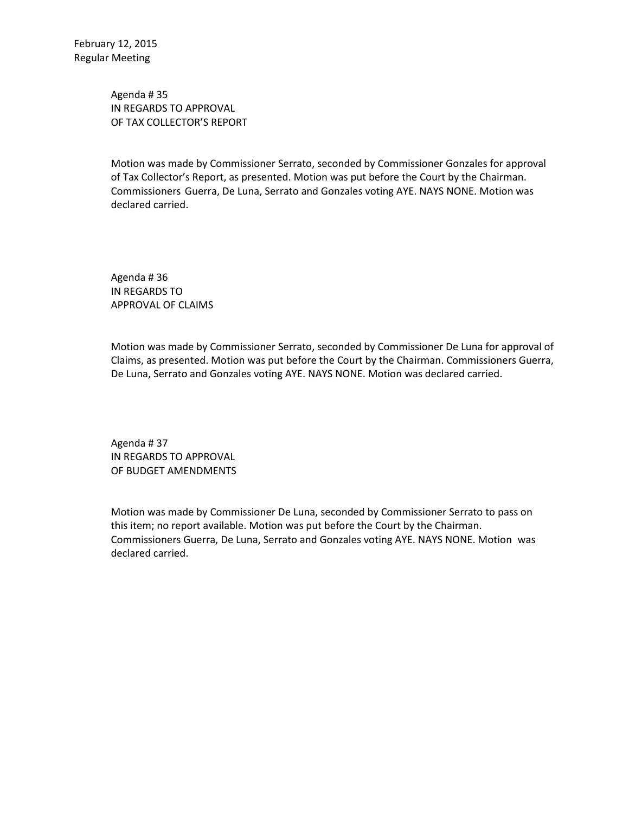Agenda # 35 IN REGARDS TO APPROVAL OF TAX COLLECTOR'S REPORT

Motion was made by Commissioner Serrato, seconded by Commissioner Gonzales for approval of Tax Collector's Report, as presented. Motion was put before the Court by the Chairman. Commissioners Guerra, De Luna, Serrato and Gonzales voting AYE. NAYS NONE. Motion was declared carried.

Agenda # 36 IN REGARDS TO APPROVAL OF CLAIMS

Motion was made by Commissioner Serrato, seconded by Commissioner De Luna for approval of Claims, as presented. Motion was put before the Court by the Chairman. Commissioners Guerra, De Luna, Serrato and Gonzales voting AYE. NAYS NONE. Motion was declared carried.

Agenda # 37 IN REGARDS TO APPROVAL OF BUDGET AMENDMENTS

Motion was made by Commissioner De Luna, seconded by Commissioner Serrato to pass on this item; no report available. Motion was put before the Court by the Chairman. Commissioners Guerra, De Luna, Serrato and Gonzales voting AYE. NAYS NONE. Motion was declared carried.